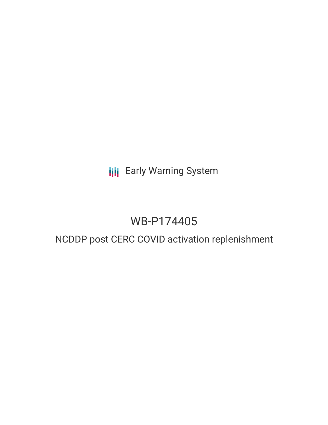# **III** Early Warning System

# WB-P174405

# NCDDP post CERC COVID activation replenishment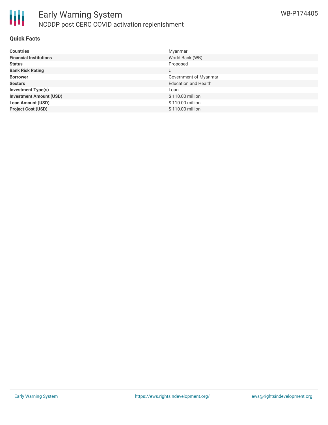

#### **Quick Facts**

| <b>Countries</b>               | Myanmar                     |
|--------------------------------|-----------------------------|
| <b>Financial Institutions</b>  | World Bank (WB)             |
| <b>Status</b>                  | Proposed                    |
| <b>Bank Risk Rating</b>        | U                           |
| <b>Borrower</b>                | Government of Myanmar       |
| <b>Sectors</b>                 | <b>Education and Health</b> |
| <b>Investment Type(s)</b>      | Loan                        |
| <b>Investment Amount (USD)</b> | \$110.00 million            |
| <b>Loan Amount (USD)</b>       | \$110.00 million            |
| <b>Project Cost (USD)</b>      | \$110.00 million            |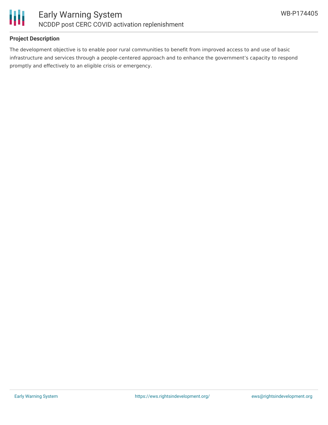

### **Project Description**

The development objective is to enable poor rural communities to benefit from improved access to and use of basic infrastructure and services through a people-centered approach and to enhance the government's capacity to respond promptly and effectively to an eligible crisis or emergency.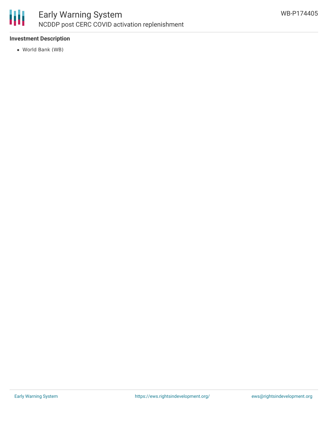

### **Investment Description**

World Bank (WB)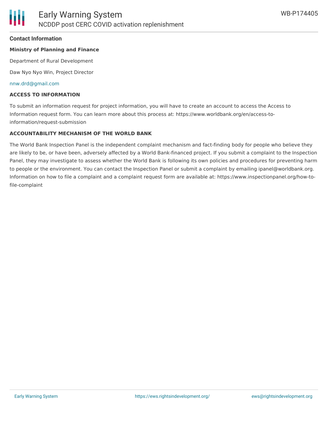#### **Contact Information**

#### **Ministry of Planning and Finance**

Department of Rural Development

Daw Nyo Nyo Win, Project Director

#### [nnw.drd@gmail.com](mailto:nnw.drd@gmail.com)

#### **ACCESS TO INFORMATION**

To submit an information request for project information, you will have to create an account to access the Access to Information request form. You can learn more about this process at: https://www.worldbank.org/en/access-toinformation/request-submission

#### **ACCOUNTABILITY MECHANISM OF THE WORLD BANK**

The World Bank Inspection Panel is the independent complaint mechanism and fact-finding body for people who believe they are likely to be, or have been, adversely affected by a World Bank-financed project. If you submit a complaint to the Inspection Panel, they may investigate to assess whether the World Bank is following its own policies and procedures for preventing harm to people or the environment. You can contact the Inspection Panel or submit a complaint by emailing ipanel@worldbank.org. Information on how to file a complaint and a complaint request form are available at: https://www.inspectionpanel.org/how-tofile-complaint